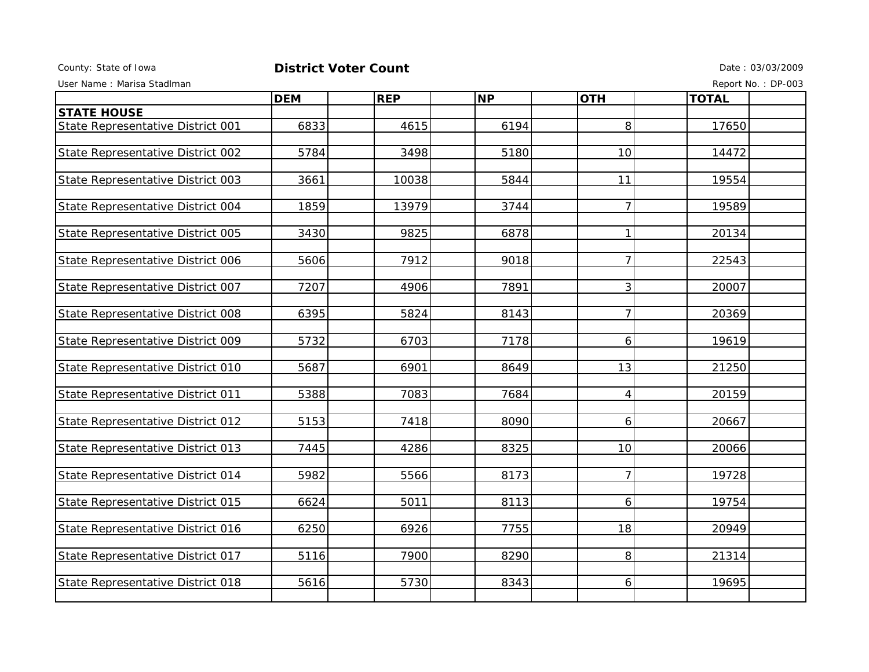## County: State of Iowa **District Voter Count** Description of the Date : 03/03/2009

User Name : Marisa Stadlman Report No. : DP-003

|                                   | <b>DEM</b> | <b>REP</b> | <b>NP</b> | <b>OTH</b>     | <b>TOTAL</b> |  |
|-----------------------------------|------------|------------|-----------|----------------|--------------|--|
| <b>STATE HOUSE</b>                |            |            |           |                |              |  |
| State Representative District 001 | 6833       | 4615       | 6194      | 8              | 17650        |  |
|                                   |            |            |           |                |              |  |
| State Representative District 002 | 5784       | 3498       | 5180      | 10             | 14472        |  |
|                                   |            |            |           |                |              |  |
| State Representative District 003 | 3661       | 10038      | 5844      | 11             | 19554        |  |
|                                   | 1859       | 13979      | 3744      | $\overline{7}$ | 19589        |  |
| State Representative District 004 |            |            |           |                |              |  |
| State Representative District 005 | 3430       | 9825       | 6878      | $\mathbf{1}$   | 20134        |  |
|                                   |            |            |           |                |              |  |
| State Representative District 006 | 5606       | 7912       | 9018      | $\overline{7}$ | 22543        |  |
|                                   |            |            |           |                |              |  |
| State Representative District 007 | 7207       | 4906       | 7891      | 3              | 20007        |  |
|                                   |            |            |           |                |              |  |
| State Representative District 008 | 6395       | 5824       | 8143      | 7              | 20369        |  |
| State Representative District 009 | 5732       | 6703       | 7178      | 6              | 19619        |  |
|                                   |            |            |           |                |              |  |
| State Representative District 010 | 5687       | 6901       | 8649      | 13             | 21250        |  |
|                                   |            |            |           |                |              |  |
| State Representative District 011 | 5388       | 7083       | 7684      | 4              | 20159        |  |
|                                   |            |            |           |                |              |  |
| State Representative District 012 | 5153       | 7418       | 8090      | 6              | 20667        |  |
| State Representative District 013 | 7445       | 4286       | 8325      | 10             | 20066        |  |
|                                   |            |            |           |                |              |  |
| State Representative District 014 | 5982       | 5566       | 8173      | $\overline{7}$ | 19728        |  |
|                                   |            |            |           |                |              |  |
| State Representative District 015 | 6624       | 5011       | 8113      | 6              | 19754        |  |
|                                   |            |            |           |                |              |  |
| State Representative District 016 | 6250       | 6926       | 7755      | 18             | 20949        |  |
|                                   |            |            |           |                |              |  |
| State Representative District 017 | 5116       | 7900       | 8290      | 8              | 21314        |  |
| State Representative District 018 | 5616       | 5730       | 8343      | 6              | 19695        |  |
|                                   |            |            |           |                |              |  |
|                                   |            |            |           |                |              |  |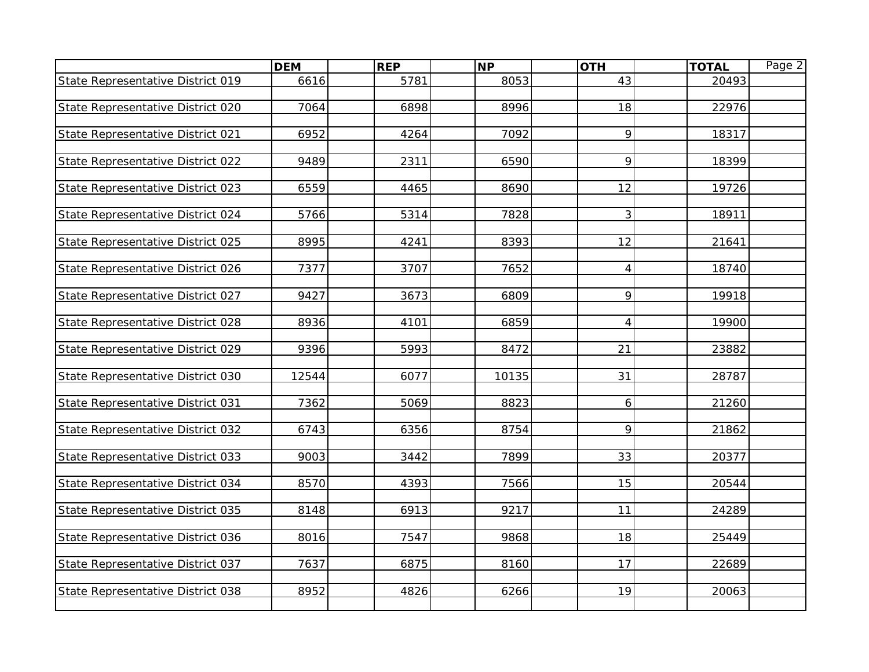|                                   | <b>DEM</b> | <b>REP</b> | <b>NP</b> | <b>OTH</b> | <b>TOTAL</b> | Page 2 |
|-----------------------------------|------------|------------|-----------|------------|--------------|--------|
| State Representative District 019 | 6616       | 5781       | 8053      | 43         | 20493        |        |
|                                   |            |            |           |            |              |        |
| State Representative District 020 | 7064       | 6898       | 8996      | 18         | 22976        |        |
|                                   |            |            |           |            |              |        |
| State Representative District 021 | 6952       | 4264       | 7092      | 9          | 18317        |        |
|                                   | 9489       | 2311       | 6590      | 9          | 18399        |        |
| State Representative District 022 |            |            |           |            |              |        |
| State Representative District 023 | 6559       | 4465       | 8690      | 12         | 19726        |        |
|                                   |            |            |           |            |              |        |
| State Representative District 024 | 5766       | 5314       | 7828      | 3          | 18911        |        |
|                                   |            |            |           |            |              |        |
| State Representative District 025 | 8995       | 4241       | 8393      | 12         | 21641        |        |
|                                   |            |            |           |            |              |        |
| State Representative District 026 | 7377       | 3707       | 7652      | 4          | 18740        |        |
|                                   |            |            |           |            |              |        |
| State Representative District 027 | 9427       | 3673       | 6809      | 9          | 19918        |        |
| State Representative District 028 | 8936       | 4101       | 6859      | 4          | 19900        |        |
|                                   |            |            |           |            |              |        |
| State Representative District 029 | 9396       | 5993       | 8472      | 21         | 23882        |        |
|                                   |            |            |           |            |              |        |
| State Representative District 030 | 12544      | 6077       | 10135     | 31         | 28787        |        |
|                                   |            |            |           |            |              |        |
| State Representative District 031 | 7362       | 5069       | 8823      | 6          | 21260        |        |
|                                   |            |            |           |            |              |        |
| State Representative District 032 | 6743       | 6356       | 8754      | 9          | 21862        |        |
| State Representative District 033 | 9003       | 3442       | 7899      | 33         | 20377        |        |
|                                   |            |            |           |            |              |        |
| State Representative District 034 | 8570       | 4393       | 7566      | 15         | 20544        |        |
|                                   |            |            |           |            |              |        |
| State Representative District 035 | 8148       | 6913       | 9217      | 11         | 24289        |        |
|                                   |            |            |           |            |              |        |
| State Representative District 036 | 8016       | 7547       | 9868      | 18         | 25449        |        |
|                                   |            |            |           |            |              |        |
| State Representative District 037 | 7637       | 6875       | 8160      | 17         | 22689        |        |
| State Representative District 038 | 8952       | 4826       | 6266      | 19         | 20063        |        |
|                                   |            |            |           |            |              |        |
|                                   |            |            |           |            |              |        |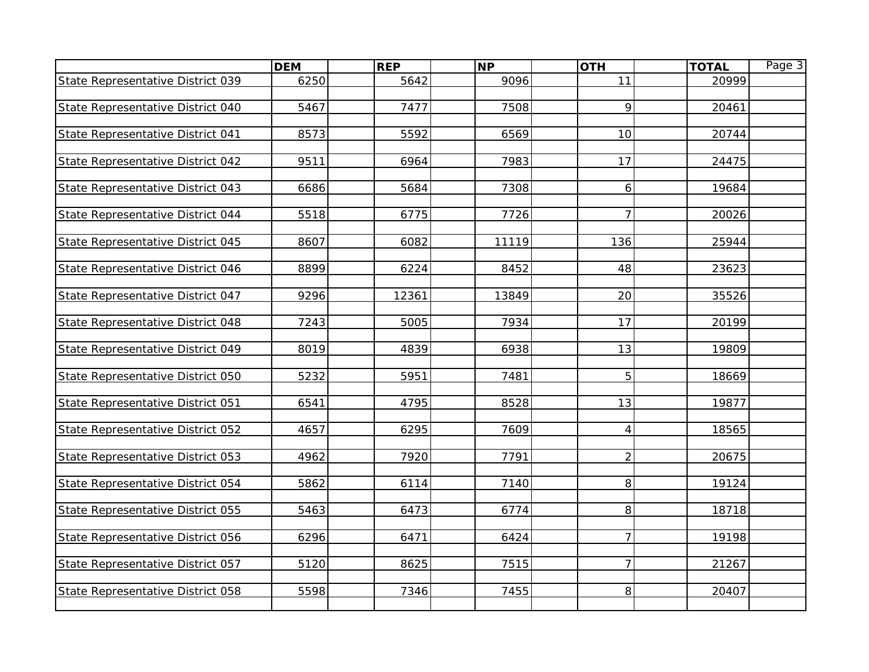|                                   | <b>DEM</b> | <b>REP</b> | <b>NP</b> | <b>OTH</b>     | <b>TOTAL</b> | Page 3 |
|-----------------------------------|------------|------------|-----------|----------------|--------------|--------|
| State Representative District 039 | 6250       | 5642       | 9096      | 11             | 20999        |        |
|                                   |            |            |           |                |              |        |
| State Representative District 040 | 5467       | 7477       | 7508      | 9              | 20461        |        |
|                                   |            |            |           |                |              |        |
| State Representative District 041 | 8573       | 5592       | 6569      | 10             | 20744        |        |
|                                   |            |            |           |                |              |        |
| State Representative District 042 | 9511       | 6964       | 7983      | 17             | 24475        |        |
| State Representative District 043 | 6686       | 5684       | 7308      | 6              | 19684        |        |
|                                   |            |            |           |                |              |        |
| State Representative District 044 | 5518       | 6775       | 7726      | $\overline{7}$ | 20026        |        |
|                                   |            |            |           |                |              |        |
| State Representative District 045 | 8607       | 6082       | 11119     | 136            | 25944        |        |
|                                   |            |            |           |                |              |        |
| State Representative District 046 | 8899       | 6224       | 8452      | 48             | 23623        |        |
|                                   |            |            |           |                |              |        |
| State Representative District 047 | 9296       | 12361      | 13849     | 20             | 35526        |        |
|                                   |            |            |           |                |              |        |
| State Representative District 048 | 7243       | 5005       | 7934      | 17             | 20199        |        |
| State Representative District 049 | 8019       | 4839       | 6938      | 13             | 19809        |        |
|                                   |            |            |           |                |              |        |
| State Representative District 050 | 5232       | 5951       | 7481      | 5              | 18669        |        |
|                                   |            |            |           |                |              |        |
| State Representative District 051 | 6541       | 4795       | 8528      | 13             | 19877        |        |
|                                   |            |            |           |                |              |        |
| State Representative District 052 | 4657       | 6295       | 7609      | 4              | 18565        |        |
|                                   |            |            |           |                |              |        |
| State Representative District 053 | 4962       | 7920       | 7791      | $\overline{2}$ | 20675        |        |
|                                   |            |            |           |                |              |        |
| State Representative District 054 | 5862       | 6114       | 7140      | 8              | 19124        |        |
| State Representative District 055 | 5463       | 6473       | 6774      | 8              | 18718        |        |
|                                   |            |            |           |                |              |        |
| State Representative District 056 | 6296       | 6471       | 6424      | $\overline{7}$ | 19198        |        |
|                                   |            |            |           |                |              |        |
| State Representative District 057 | 5120       | 8625       | 7515      | $\overline{7}$ | 21267        |        |
|                                   |            |            |           |                |              |        |
| State Representative District 058 | 5598       | 7346       | 7455      | 8              | 20407        |        |
|                                   |            |            |           |                |              |        |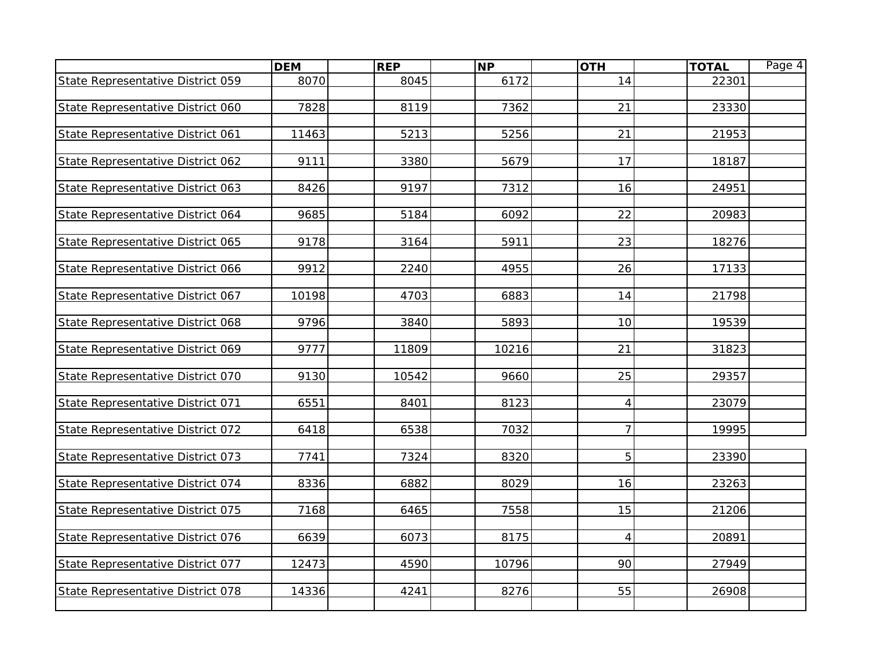|                                   | <b>DEM</b> | <b>REP</b> | <b>NP</b> | <b>OTH</b>     | <b>TOTAL</b> | Page 4 |
|-----------------------------------|------------|------------|-----------|----------------|--------------|--------|
| State Representative District 059 | 8070       | 8045       | 6172      | 14             | 22301        |        |
|                                   |            |            |           |                |              |        |
| State Representative District 060 | 7828       | 8119       | 7362      | 21             | 23330        |        |
|                                   |            |            |           |                |              |        |
| State Representative District 061 | 11463      | 5213       | 5256      | 21             | 21953        |        |
|                                   |            |            |           |                |              |        |
| State Representative District 062 | 9111       | 3380       | 5679      | 17             | 18187        |        |
| State Representative District 063 | 8426       | 9197       | 7312      | 16             | 24951        |        |
|                                   |            |            |           |                |              |        |
| State Representative District 064 | 9685       | 5184       | 6092      | 22             | 20983        |        |
|                                   |            |            |           |                |              |        |
| State Representative District 065 | 9178       | 3164       | 5911      | 23             | 18276        |        |
|                                   |            |            |           |                |              |        |
| State Representative District 066 | 9912       | 2240       | 4955      | 26             | 17133        |        |
|                                   |            |            |           |                |              |        |
| State Representative District 067 | 10198      | 4703       | 6883      | 14             | 21798        |        |
|                                   |            |            |           |                |              |        |
| State Representative District 068 | 9796       | 3840       | 5893      | 10             | 19539        |        |
| State Representative District 069 | 9777       | 11809      | 10216     | 21             | 31823        |        |
|                                   |            |            |           |                |              |        |
| State Representative District 070 | 9130       | 10542      | 9660      | 25             | 29357        |        |
|                                   |            |            |           |                |              |        |
| State Representative District 071 | 6551       | 8401       | 8123      | $\overline{4}$ | 23079        |        |
|                                   |            |            |           |                |              |        |
| State Representative District 072 | 6418       | 6538       | 7032      | $\overline{7}$ | 19995        |        |
|                                   |            |            |           |                |              |        |
| State Representative District 073 | 7741       | 7324       | 8320      | 5              | 23390        |        |
|                                   |            |            |           |                |              |        |
| State Representative District 074 | 8336       | 6882       | 8029      | 16             | 23263        |        |
|                                   | 7168       | 6465       | 7558      | 15             | 21206        |        |
| State Representative District 075 |            |            |           |                |              |        |
| State Representative District 076 | 6639       | 6073       | 8175      | 4              | 20891        |        |
|                                   |            |            |           |                |              |        |
| State Representative District 077 | 12473      | 4590       | 10796     | 90             | 27949        |        |
|                                   |            |            |           |                |              |        |
| State Representative District 078 | 14336      | 4241       | 8276      | 55             | 26908        |        |
|                                   |            |            |           |                |              |        |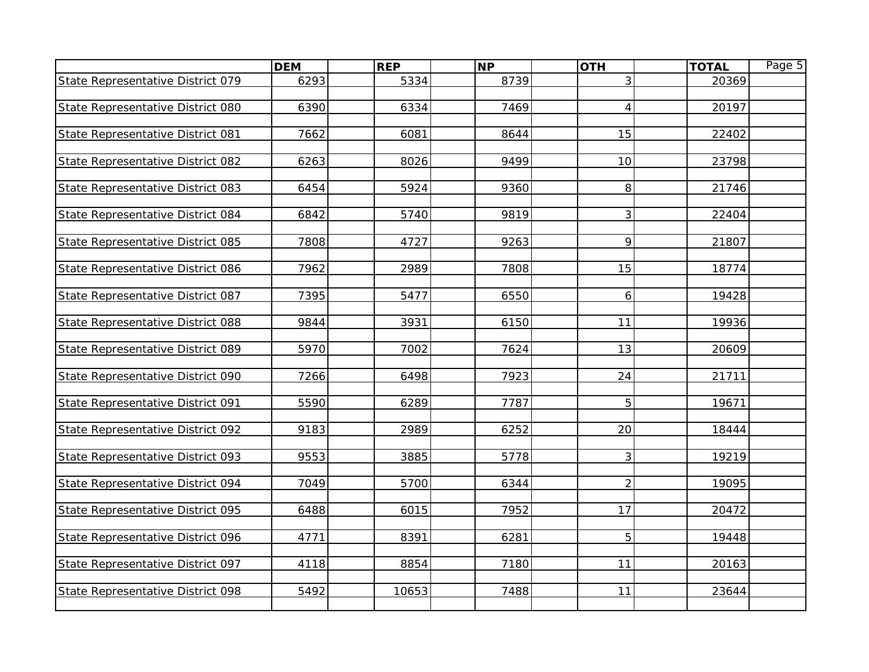|                                   | <b>DEM</b> | <b>REP</b> | <b>NP</b> | <b>OTH</b>     | <b>TOTAL</b> | Page 5 |
|-----------------------------------|------------|------------|-----------|----------------|--------------|--------|
| State Representative District 079 | 6293       | 5334       | 8739      | 3              | 20369        |        |
|                                   |            |            |           |                |              |        |
| State Representative District 080 | 6390       | 6334       | 7469      | $\overline{4}$ | 20197        |        |
|                                   |            |            |           |                |              |        |
| State Representative District 081 | 7662       | 6081       | 8644      | 15             | 22402        |        |
|                                   | 6263       | 8026       | 9499      | 10             | 23798        |        |
| State Representative District 082 |            |            |           |                |              |        |
| State Representative District 083 | 6454       | 5924       | 9360      | 8              | 21746        |        |
|                                   |            |            |           |                |              |        |
| State Representative District 084 | 6842       | 5740       | 9819      | 3              | 22404        |        |
|                                   |            |            |           |                |              |        |
| State Representative District 085 | 7808       | 4727       | 9263      | 9              | 21807        |        |
|                                   |            |            |           |                |              |        |
| State Representative District 086 | 7962       | 2989       | 7808      | 15             | 18774        |        |
|                                   |            |            |           |                |              |        |
| State Representative District 087 | 7395       | 5477       | 6550      | 6              | 19428        |        |
| State Representative District 088 | 9844       | 3931       | 6150      | 11             | 19936        |        |
|                                   |            |            |           |                |              |        |
| State Representative District 089 | 5970       | 7002       | 7624      | 13             | 20609        |        |
|                                   |            |            |           |                |              |        |
| State Representative District 090 | 7266       | 6498       | 7923      | 24             | 21711        |        |
|                                   |            |            |           |                |              |        |
| State Representative District 091 | 5590       | 6289       | 7787      | 5              | 19671        |        |
|                                   |            |            |           |                |              |        |
| State Representative District 092 | 9183       | 2989       | 6252      | 20             | 18444        |        |
|                                   |            |            |           |                |              |        |
| State Representative District 093 | 9553       | 3885       | 5778      | 3              | 19219        |        |
| State Representative District 094 | 7049       | 5700       | 6344      | $\overline{2}$ | 19095        |        |
|                                   |            |            |           |                |              |        |
| State Representative District 095 | 6488       | 6015       | 7952      | 17             | 20472        |        |
|                                   |            |            |           |                |              |        |
| State Representative District 096 | 4771       | 8391       | 6281      | 5              | 19448        |        |
|                                   |            |            |           |                |              |        |
| State Representative District 097 | 4118       | 8854       | 7180      | 11             | 20163        |        |
|                                   |            |            |           |                |              |        |
| State Representative District 098 | 5492       | 10653      | 7488      | 11             | 23644        |        |
|                                   |            |            |           |                |              |        |